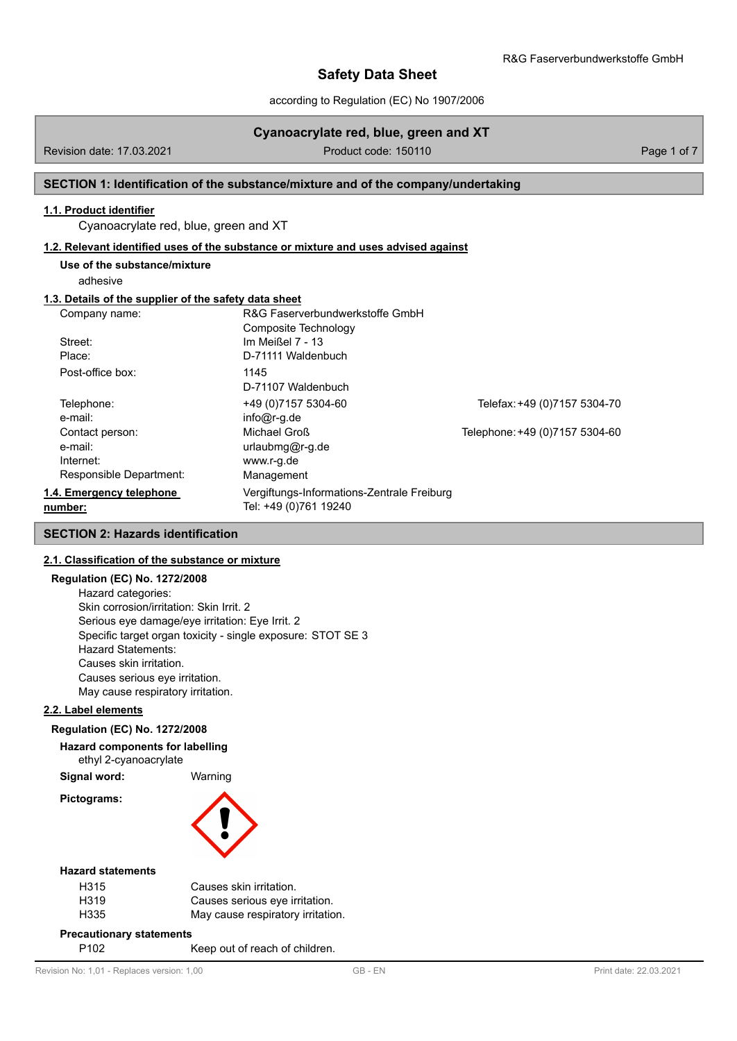according to Regulation (EC) No 1907/2006

# **Cyanoacrylate red, blue, green and XT**

Revision date: 17.03.2021 **Product code: 150110** Product code: 150110 **Page 1 of 7** 

## **SECTION 1: Identification of the substance/mixture and of the company/undertaking**

# **1.1. Product identifier**

Cyanoacrylate red, blue, green and XT

#### **1.2. Relevant identified uses of the substance or mixture and uses advised against**

**Use of the substance/mixture**

adhesive

# **1.3. Details of the supplier of the safety data sheet**

| Company name:            | R&G Faserverbundwerkstoffe GmbH            |                                |
|--------------------------|--------------------------------------------|--------------------------------|
|                          | Composite Technology                       |                                |
| Street:                  | Im Meißel $7 - 13$                         |                                |
| Place:                   | D-71111 Waldenbuch                         |                                |
| Post-office box:         | 1145                                       |                                |
|                          | D-71107 Waldenbuch                         |                                |
| Telephone:               | +49 (0) 7157 5304-60                       | Telefax: +49 (0)7157 5304-70   |
| e-mail:                  | $info@r-g.de$                              |                                |
| Contact person:          | Michael Groß                               | Telephone: +49 (0)7157 5304-60 |
| e-mail:                  | urlaubmg@r-g.de                            |                                |
| Internet:                | www.r-g.de                                 |                                |
| Responsible Department:  | Management                                 |                                |
| 1.4. Emergency telephone | Vergiftungs-Informations-Zentrale Freiburg |                                |
| number:                  | Tel: +49 (0)761 19240                      |                                |

## **SECTION 2: Hazards identification**

#### **2.1. Classification of the substance or mixture**

### **Regulation (EC) No. 1272/2008**

Hazard categories: Skin corrosion/irritation: Skin Irrit. 2 Serious eye damage/eye irritation: Eye Irrit. 2 Specific target organ toxicity - single exposure: STOT SE 3 Hazard Statements: Causes skin irritation. Causes serious eye irritation. May cause respiratory irritation.

#### **2.2. Label elements**

#### **Regulation (EC) No. 1272/2008**

**Hazard components for labelling**

ethyl 2-cyanoacrylate

**Signal word:** Warning

**Pictograms:**



### **Hazard statements**

| H315 | Causes skin irritation.           |
|------|-----------------------------------|
| H319 | Causes serious eve irritation.    |
| H335 | May cause respiratory irritation. |

#### **Precautionary statements**

P102 Keep out of reach of children.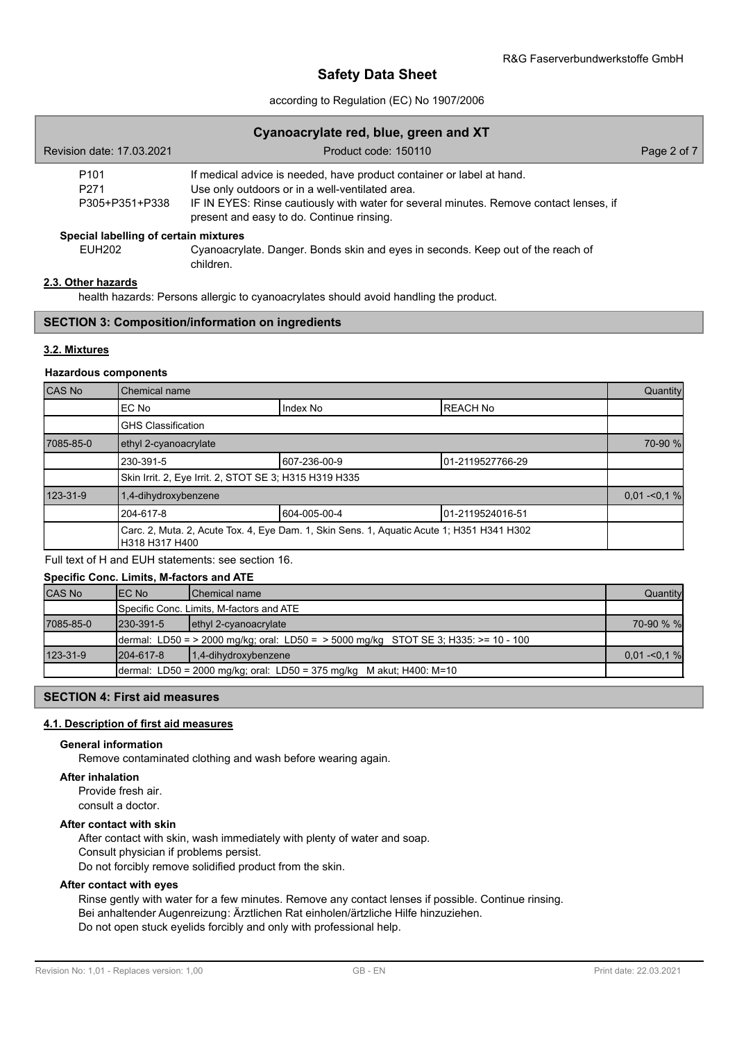## according to Regulation (EC) No 1907/2006

| Cyanoacrylate red, blue, green and XT                  |                                                                                                                                                                                                                                                                 |             |  |  |
|--------------------------------------------------------|-----------------------------------------------------------------------------------------------------------------------------------------------------------------------------------------------------------------------------------------------------------------|-------------|--|--|
| Revision date: 17,03,2021                              | Product code: 150110                                                                                                                                                                                                                                            | Page 2 of 7 |  |  |
| P <sub>101</sub><br>P <sub>271</sub><br>P305+P351+P338 | If medical advice is needed, have product container or label at hand.<br>Use only outdoors or in a well-ventilated area.<br>IF IN EYES: Rinse cautiously with water for several minutes. Remove contact lenses, if<br>present and easy to do. Continue rinsing. |             |  |  |
| Special labelling of certain mixtures                  |                                                                                                                                                                                                                                                                 |             |  |  |
| <b>EUH202</b>                                          | Cyanoacrylate. Danger. Bonds skin and eyes in seconds. Keep out of the reach of<br>children.                                                                                                                                                                    |             |  |  |

## **2.3. Other hazards**

health hazards: Persons allergic to cyanoacrylates should avoid handling the product.

## **SECTION 3: Composition/information on ingredients**

## **3.2. Mixtures**

## **Hazardous components**

| CAS No    | Chemical name                                          |                                                                                           |                  | Quantity       |
|-----------|--------------------------------------------------------|-------------------------------------------------------------------------------------------|------------------|----------------|
|           | IEC No                                                 | Index No                                                                                  | <b>IREACH No</b> |                |
|           | <b>GHS Classification</b>                              |                                                                                           |                  |                |
| 7085-85-0 | ethyl 2-cyanoacrylate                                  |                                                                                           |                  | 70-90 %        |
|           | 230-391-5                                              | 607-236-00-9<br>01-2119527766-29                                                          |                  |                |
|           | Skin Irrit. 2, Eye Irrit. 2, STOT SE 3; H315 H319 H335 |                                                                                           |                  |                |
| 123-31-9  | 1,4-dihydroxybenzene                                   |                                                                                           |                  | $0.01 - 0.1 %$ |
|           | 604-005-00-4<br>01-2119524016-51<br>1204-617-8         |                                                                                           |                  |                |
|           | H318 H317 H400                                         | Carc. 2, Muta. 2, Acute Tox. 4, Eye Dam. 1, Skin Sens. 1, Aquatic Acute 1; H351 H341 H302 |                  |                |

## Full text of H and EUH statements: see section 16.

# **Specific Conc. Limits, M-factors and ATE** CAS No EC No Chemical name Quantity Specific Conc. Limits, M-factors and ATE 7085-85-0 230-391-5 ethyl 2-cyanoacrylate 70-90 % % dermal: LD50 = > 2000 mg/kg; oral: LD50 = > 5000 mg/kg STOT SE 3; H335: >= 10 - 100 123-31-9 204-617-8 1,4-dihydroxybenzene 0,01 -<0,1 % 201 -<0,1 % 201 -<0,1 % 201 -<0,1 % 201 -<0,1 % 201 -<0,1 % 201 -<0,1 % 201 -<0,1 % 201 -<0,1 % 201 -<0,1 % 201 -<0,1 % 201 -<0,1 % 201 -<0,1 % 201 -<0,1 % 201 -<0,1 % 2 dermal: LD50 = 2000 mg/kg; oral: LD50 = 375 mg/kg M akut; H400: M=10

## **SECTION 4: First aid measures**

## **4.1. Description of first aid measures**

#### **General information**

Remove contaminated clothing and wash before wearing again.

## **After inhalation**

Provide fresh air. consult a doctor.

## **After contact with skin**

After contact with skin, wash immediately with plenty of water and soap. Consult physician if problems persist. Do not forcibly remove solidified product from the skin.

#### **After contact with eyes**

Rinse gently with water for a few minutes. Remove any contact lenses if possible. Continue rinsing. Bei anhaltender Augenreizung: Ärztlichen Rat einholen/ärtzliche Hilfe hinzuziehen. Do not open stuck eyelids forcibly and only with professional help.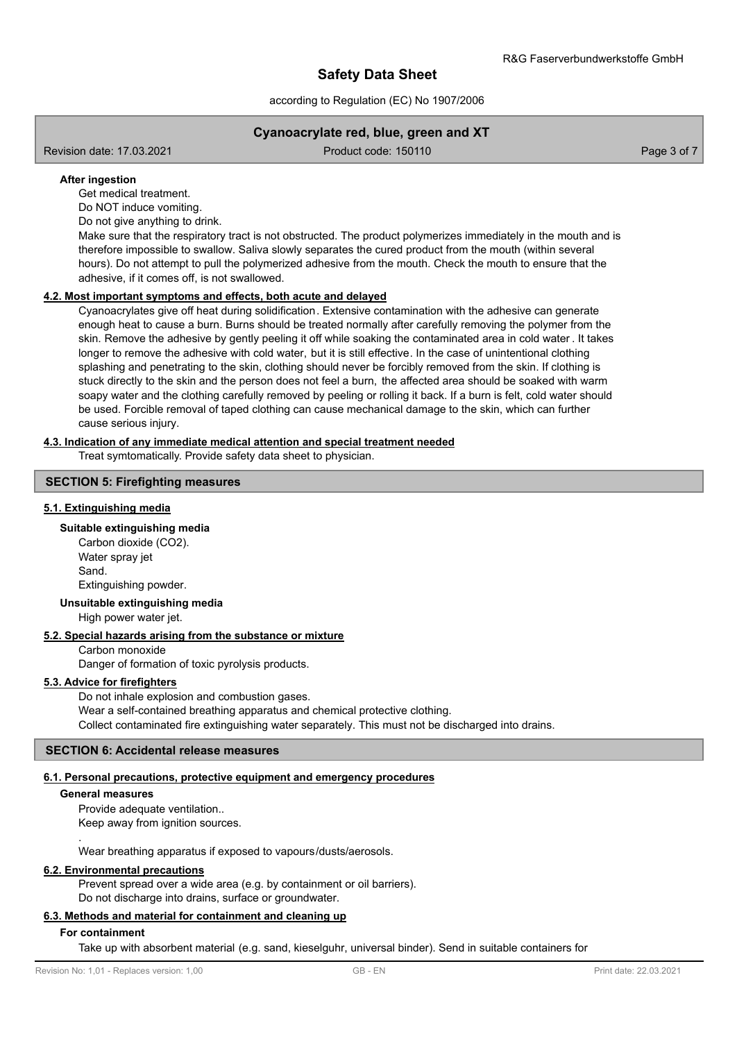according to Regulation (EC) No 1907/2006

# **Cyanoacrylate red, blue, green and XT**

Revision date: 17.03.2021 **Product code: 150110** Product code: 150110 **Page 3 of 7** Page 3 of 7

## **After ingestion**

Get medical treatment.

Do NOT induce vomiting.

Do not give anything to drink.

Make sure that the respiratory tract is not obstructed. The product polymerizes immediately in the mouth and is therefore impossible to swallow. Saliva slowly separates the cured product from the mouth (within several hours). Do not attempt to pull the polymerized adhesive from the mouth. Check the mouth to ensure that the adhesive, if it comes off, is not swallowed.

## **4.2. Most important symptoms and effects, both acute and delayed**

Cyanoacrylates give off heat during solidification. Extensive contamination with the adhesive can generate enough heat to cause a burn. Burns should be treated normally after carefully removing the polymer from the skin. Remove the adhesive by gently peeling it off while soaking the contaminated area in cold water . It takes longer to remove the adhesive with cold water, but it is still effective. In the case of unintentional clothing splashing and penetrating to the skin, clothing should never be forcibly removed from the skin. If clothing is stuck directly to the skin and the person does not feel a burn, the affected area should be soaked with warm soapy water and the clothing carefully removed by peeling or rolling it back. If a burn is felt, cold water should be used. Forcible removal of taped clothing can cause mechanical damage to the skin, which can further cause serious injury.

## **4.3. Indication of any immediate medical attention and special treatment needed**

Treat symtomatically. Provide safety data sheet to physician.

## **SECTION 5: Firefighting measures**

#### **5.1. Extinguishing media**

## **Suitable extinguishing media**

Carbon dioxide (CO2). Water spray jet Sand. Extinguishing powder.

## **Unsuitable extinguishing media**

High power water jet.

## **5.2. Special hazards arising from the substance or mixture**

Carbon monoxide

Danger of formation of toxic pyrolysis products.

## **5.3. Advice for firefighters**

Do not inhale explosion and combustion gases. Wear a self-contained breathing apparatus and chemical protective clothing. Collect contaminated fire extinguishing water separately. This must not be discharged into drains.

### **SECTION 6: Accidental release measures**

#### **6.1. Personal precautions, protective equipment and emergency procedures**

#### **General measures**

.

Provide adequate ventilation.. Keep away from ignition sources.

Wear breathing apparatus if exposed to vapours/dusts/aerosols.

## **6.2. Environmental precautions**

Prevent spread over a wide area (e.g. by containment or oil barriers). Do not discharge into drains, surface or groundwater.

## **6.3. Methods and material for containment and cleaning up**

#### **For containment**

Take up with absorbent material (e.g. sand, kieselguhr, universal binder). Send in suitable containers for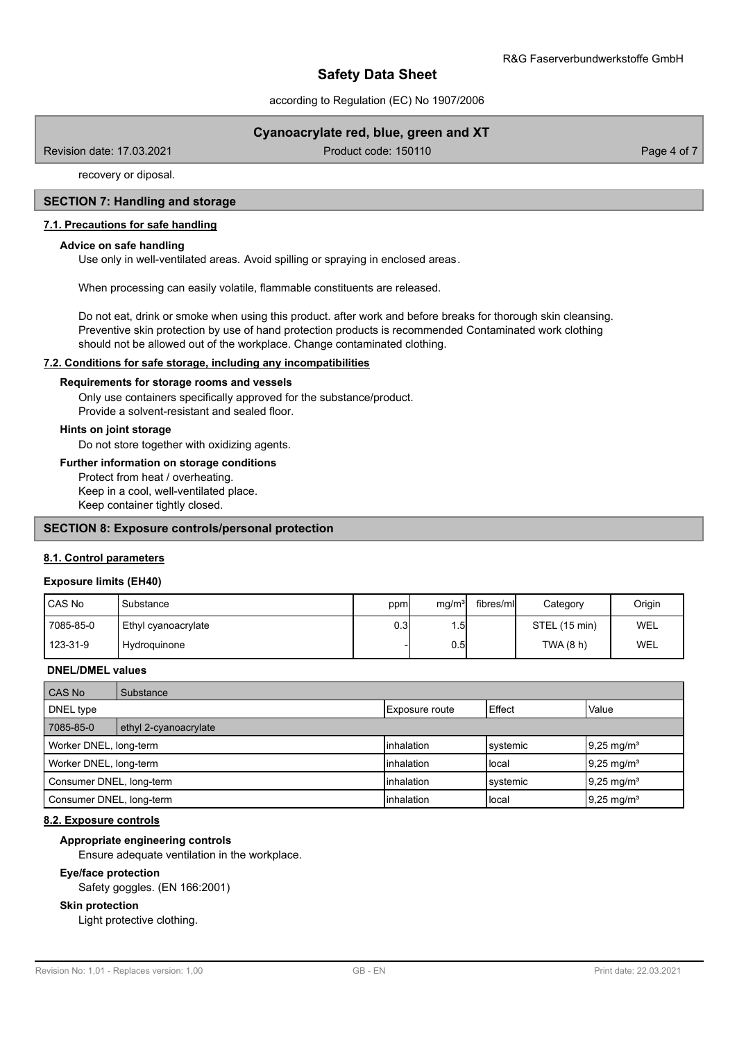according to Regulation (EC) No 1907/2006

# **Cyanoacrylate red, blue, green and XT**

Revision date: 17.03.2021 **Product code: 150110** Product code: 150110 **Page 4 of 7** 

recovery or diposal.

## **SECTION 7: Handling and storage**

### **7.1. Precautions for safe handling**

#### **Advice on safe handling**

Use only in well-ventilated areas. Avoid spilling or spraying in enclosed areas.

When processing can easily volatile, flammable constituents are released.

Do not eat, drink or smoke when using this product. after work and before breaks for thorough skin cleansing. Preventive skin protection by use of hand protection products is recommended Contaminated work clothing should not be allowed out of the workplace. Change contaminated clothing.

#### **7.2. Conditions for safe storage, including any incompatibilities**

#### **Requirements for storage rooms and vessels**

Only use containers specifically approved for the substance/product. Provide a solvent-resistant and sealed floor.

## **Hints on joint storage**

Do not store together with oxidizing agents.

#### **Further information on storage conditions**

Protect from heat / overheating. Keep in a cool, well-ventilated place. Keep container tightly closed.

## **SECTION 8: Exposure controls/personal protection**

#### **8.1. Control parameters**

#### **Exposure limits (EH40)**

| CAS No    | Substance           | ppm  | mg/m <sup>3</sup> | fibres/ml | Category      | Origin |
|-----------|---------------------|------|-------------------|-----------|---------------|--------|
| 7085-85-0 | Ethyl cyanoacrylate | 0.3I | . .51             |           | STEL (15 min) | WEL    |
| 123-31-9  | Hydroguinone        |      | 0.51              |           | TWA (8 h)     | WEL    |

#### **DNEL/DMEL values**

| CAS No                   | Substance             |                       |          |                        |
|--------------------------|-----------------------|-----------------------|----------|------------------------|
| DNEL type                |                       | <b>Exposure route</b> | Effect   | Value                  |
| 7085-85-0                | ethyl 2-cyanoacrylate |                       |          |                        |
| Worker DNEL, long-term   |                       | <b>linhalation</b>    | systemic | $19.25 \text{ mg/m}^3$ |
| Worker DNEL, long-term   |                       | <b>linhalation</b>    | llocal   | $9,25 \text{ mg/m}^3$  |
| Consumer DNEL, long-term |                       | <b>linhalation</b>    | systemic | $19.25 \text{ mg/m}^3$ |
| Consumer DNEL, long-term |                       | <b>linhalation</b>    | llocal   | $9,25 \text{ mg/m}^3$  |

## **8.2. Exposure controls**

#### **Appropriate engineering controls**

Ensure adequate ventilation in the workplace.

#### **Eye/face protection**

Safety goggles. (EN 166:2001)

#### **Skin protection**

Light protective clothing.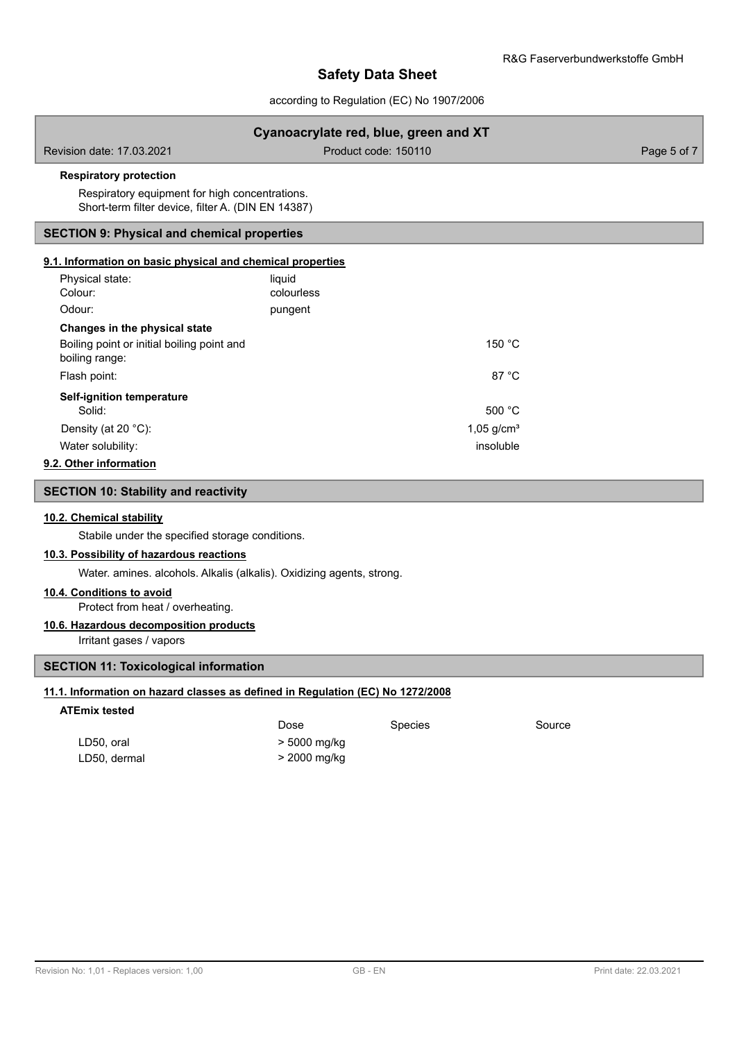according to Regulation (EC) No 1907/2006

|                                                                                |              | Cyanoacrylate red, blue, green and XT |             |
|--------------------------------------------------------------------------------|--------------|---------------------------------------|-------------|
| Revision date: 17.03.2021                                                      |              | Product code: 150110                  | Page 5 of 7 |
| <b>Respiratory protection</b>                                                  |              |                                       |             |
| Respiratory equipment for high concentrations.                                 |              |                                       |             |
| Short-term filter device, filter A. (DIN EN 14387)                             |              |                                       |             |
| <b>SECTION 9: Physical and chemical properties</b>                             |              |                                       |             |
| 9.1. Information on basic physical and chemical properties                     |              |                                       |             |
| Physical state:                                                                | liquid       |                                       |             |
| Colour:                                                                        | colourless   |                                       |             |
| Odour:                                                                         | pungent      |                                       |             |
| Changes in the physical state                                                  |              |                                       |             |
| Boiling point or initial boiling point and<br>boiling range:                   |              | 150 °C                                |             |
| Flash point:                                                                   |              | 87 °C                                 |             |
| Self-ignition temperature                                                      |              |                                       |             |
| Solid:                                                                         |              | 500 °C                                |             |
| Density (at 20 °C):                                                            |              | $1,05$ g/cm <sup>3</sup>              |             |
| Water solubility:                                                              |              | insoluble                             |             |
| 9.2. Other information                                                         |              |                                       |             |
| <b>SECTION 10: Stability and reactivity</b>                                    |              |                                       |             |
| 10.2. Chemical stability                                                       |              |                                       |             |
| Stabile under the specified storage conditions.                                |              |                                       |             |
| 10.3. Possibility of hazardous reactions                                       |              |                                       |             |
| Water. amines. alcohols. Alkalis (alkalis). Oxidizing agents, strong.          |              |                                       |             |
| 10.4. Conditions to avoid                                                      |              |                                       |             |
| Protect from heat / overheating.                                               |              |                                       |             |
| 10.6. Hazardous decomposition products                                         |              |                                       |             |
| Irritant gases / vapors                                                        |              |                                       |             |
| <b>SECTION 11: Toxicological information</b>                                   |              |                                       |             |
| 11.1. Information on hazard classes as defined in Regulation (EC) No 1272/2008 |              |                                       |             |
| <b>ATEmix tested</b>                                                           |              |                                       |             |
|                                                                                | Dose         | Species                               | Source      |
| LD50, oral                                                                     | > 5000 mg/kg |                                       |             |
| LD50, dermal                                                                   | > 2000 mg/kg |                                       |             |
|                                                                                |              |                                       |             |
|                                                                                |              |                                       |             |
|                                                                                |              |                                       |             |
|                                                                                |              |                                       |             |
|                                                                                |              |                                       |             |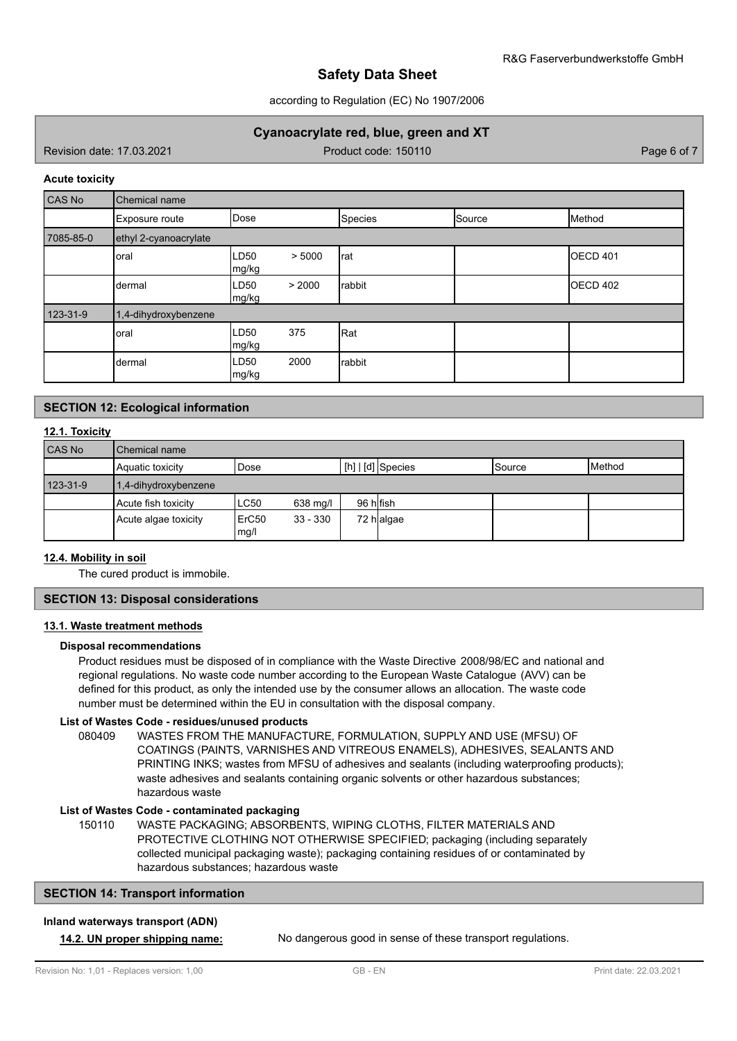## according to Regulation (EC) No 1907/2006

# **Cyanoacrylate red, blue, green and XT**

Revision date: 17.03.2021 **Product code: 150110** Product code: 150110 **Page 6 of 7** Page 6 of 7

#### **Acute toxicity**

| CAS No    | Chemical name         |                         |                |        |                     |
|-----------|-----------------------|-------------------------|----------------|--------|---------------------|
|           | Exposure route        | Dose                    | <b>Species</b> | Source | Method              |
| 7085-85-0 | ethyl 2-cyanoacrylate |                         |                |        |                     |
|           | oral                  | LD50<br>> 5000<br>mg/kg | Irat           |        | OECD <sub>401</sub> |
|           | dermal                | > 2000<br>LD50<br>mg/kg | rabbit         |        | OECD 402            |
| 123-31-9  | 1,4-dihydroxybenzene  |                         |                |        |                     |
|           | oral                  | LD50<br>375<br>mg/kg    | Rat            |        |                     |
|           | dermal                | 2000<br>LD50<br>mg/kg   | rabbit         |        |                     |

# **SECTION 12: Ecological information**

## **12.1. Toxicity**

| <b>CAS No</b> | Chemical name        |               |            |           |                                     |         |                 |
|---------------|----------------------|---------------|------------|-----------|-------------------------------------|---------|-----------------|
|               | Aquatic toxicity     | Dose          |            |           | $\lfloor$ [h] $\rfloor$ [d] Species | ISource | <b>I</b> Method |
| 123-31-9      | 1,4-dihydroxybenzene |               |            |           |                                     |         |                 |
|               | Acute fish toxicity  | <b>LC50</b>   | 638 mg/l   | 96 hlfish |                                     |         |                 |
|               | Acute algae toxicity | ErC50<br>mg/l | $33 - 330$ |           | 72 halgae                           |         |                 |

## **12.4. Mobility in soil**

The cured product is immobile.

#### **SECTION 13: Disposal considerations**

### **13.1. Waste treatment methods**

## **Disposal recommendations**

Product residues must be disposed of in compliance with the Waste Directive 2008/98/EC and national and regional regulations. No waste code number according to the European Waste Catalogue (AVV) can be defined for this product, as only the intended use by the consumer allows an allocation. The waste code number must be determined within the EU in consultation with the disposal company.

#### **List of Wastes Code - residues/unused products**

080409 WASTES FROM THE MANUFACTURE, FORMULATION, SUPPLY AND USE (MFSU) OF COATINGS (PAINTS, VARNISHES AND VITREOUS ENAMELS), ADHESIVES, SEALANTS AND PRINTING INKS; wastes from MFSU of adhesives and sealants (including waterproofing products); waste adhesives and sealants containing organic solvents or other hazardous substances; hazardous waste

#### **List of Wastes Code - contaminated packaging**

WASTE PACKAGING; ABSORBENTS, WIPING CLOTHS, FILTER MATERIALS AND PROTECTIVE CLOTHING NOT OTHERWISE SPECIFIED; packaging (including separately collected municipal packaging waste); packaging containing residues of or contaminated by hazardous substances; hazardous waste 150110

## **SECTION 14: Transport information**

#### **Inland waterways transport (ADN)**

**14.2. UN proper shipping name:** No dangerous good in sense of these transport regulations.